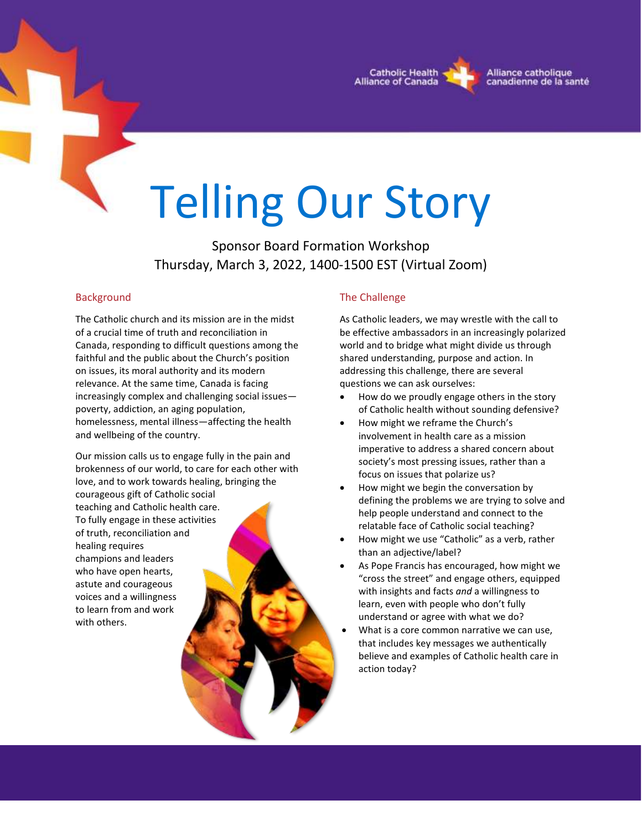

# Telling Our Story

Sponsor Board Formation Workshop Thursday, March 3, 2022, 1400-1500 EST (Virtual Zoom)

### Background

The Catholic church and its mission are in the midst of a crucial time of truth and reconciliation in Canada, responding to difficult questions among the faithful and the public about the Church's position on issues, its moral authority and its modern relevance. At the same time, Canada is facing increasingly complex and challenging social issues poverty, addiction, an aging population, homelessness, mental illness—affecting the health and wellbeing of the country.

Our mission calls us to engage fully in the pain and brokenness of our world, to care for each other with love, and to work towards healing, bringing the

courageous gift of Catholic social teaching and Catholic health care. To fully engage in these activities of truth, reconciliation and healing requires champions and leaders who have open hearts, astute and courageous voices and a willingness to learn from and work with others.

# The Challenge

As Catholic leaders, we may wrestle with the call to be effective ambassadors in an increasingly polarized world and to bridge what might divide us through shared understanding, purpose and action. In addressing this challenge, there are several questions we can ask ourselves:

- How do we proudly engage others in the story of Catholic health without sounding defensive?
- How might we reframe the Church's involvement in health care as a mission imperative to address a shared concern about society's most pressing issues, rather than a focus on issues that polarize us?
- How might we begin the conversation by defining the problems we are trying to solve and help people understand and connect to the relatable face of Catholic social teaching?
- How might we use "Catholic" as a verb, rather than an adjective/label?
- As Pope Francis has encouraged, how might we "cross the street" and engage others, equipped with insights and facts *and* a willingness to learn, even with people who don't fully understand or agree with what we do?
- What is a core common narrative we can use, that includes key messages we authentically believe and examples of Catholic health care in action today?